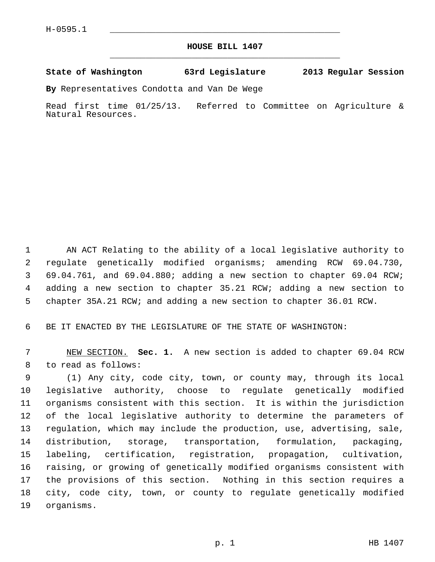## **HOUSE BILL 1407** \_\_\_\_\_\_\_\_\_\_\_\_\_\_\_\_\_\_\_\_\_\_\_\_\_\_\_\_\_\_\_\_\_\_\_\_\_\_\_\_\_\_\_\_\_

## **State of Washington 63rd Legislature 2013 Regular Session**

**By** Representatives Condotta and Van De Wege

Read first time 01/25/13. Referred to Committee on Agriculture & Natural Resources.

 1 AN ACT Relating to the ability of a local legislative authority to 2 regulate genetically modified organisms; amending RCW 69.04.730, 3 69.04.761, and 69.04.880; adding a new section to chapter 69.04 RCW; 4 adding a new section to chapter 35.21 RCW; adding a new section to 5 chapter 35A.21 RCW; and adding a new section to chapter 36.01 RCW.

6 BE IT ENACTED BY THE LEGISLATURE OF THE STATE OF WASHINGTON:

 7 NEW SECTION. **Sec. 1.** A new section is added to chapter 69.04 RCW 8 to read as follows:

 9 (1) Any city, code city, town, or county may, through its local 10 legislative authority, choose to regulate genetically modified 11 organisms consistent with this section. It is within the jurisdiction 12 of the local legislative authority to determine the parameters of 13 regulation, which may include the production, use, advertising, sale, 14 distribution, storage, transportation, formulation, packaging, 15 labeling, certification, registration, propagation, cultivation, 16 raising, or growing of genetically modified organisms consistent with 17 the provisions of this section. Nothing in this section requires a 18 city, code city, town, or county to regulate genetically modified 19 organisms.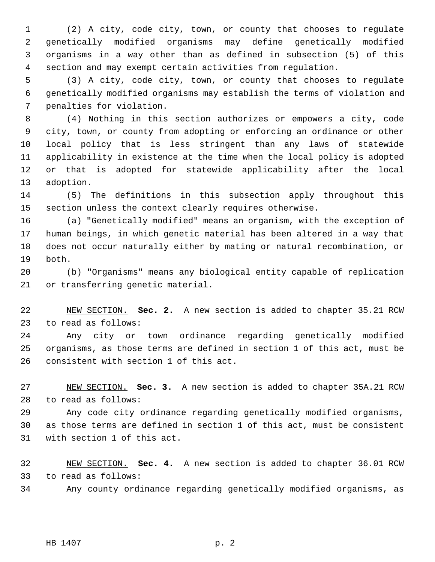1 (2) A city, code city, town, or county that chooses to regulate 2 genetically modified organisms may define genetically modified 3 organisms in a way other than as defined in subsection (5) of this 4 section and may exempt certain activities from regulation.

 5 (3) A city, code city, town, or county that chooses to regulate 6 genetically modified organisms may establish the terms of violation and 7 penalties for violation.

 8 (4) Nothing in this section authorizes or empowers a city, code 9 city, town, or county from adopting or enforcing an ordinance or other 10 local policy that is less stringent than any laws of statewide 11 applicability in existence at the time when the local policy is adopted 12 or that is adopted for statewide applicability after the local 13 adoption.

14 (5) The definitions in this subsection apply throughout this 15 section unless the context clearly requires otherwise.

16 (a) "Genetically modified" means an organism, with the exception of 17 human beings, in which genetic material has been altered in a way that 18 does not occur naturally either by mating or natural recombination, or 19 both.

20 (b) "Organisms" means any biological entity capable of replication 21 or transferring genetic material.

22 NEW SECTION. **Sec. 2.** A new section is added to chapter 35.21 RCW 23 to read as follows:

24 Any city or town ordinance regarding genetically modified 25 organisms, as those terms are defined in section 1 of this act, must be 26 consistent with section 1 of this act.

27 NEW SECTION. **Sec. 3.** A new section is added to chapter 35A.21 RCW 28 to read as follows:

29 Any code city ordinance regarding genetically modified organisms, 30 as those terms are defined in section 1 of this act, must be consistent 31 with section 1 of this act.

32 NEW SECTION. **Sec. 4.** A new section is added to chapter 36.01 RCW 33 to read as follows:

34 Any county ordinance regarding genetically modified organisms, as